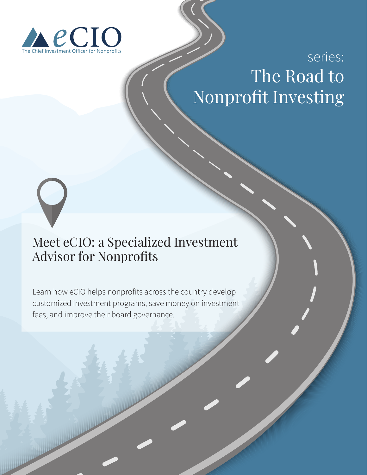

## Series:<br>The Road to I IIC NUAU LU series: The Road to Nonprofit Investing

# Meet eCIO: a Specialized Investment Advisor for Nonprofits

Learn how eCIO helps nonprofits across the country develop customized investment programs, save money on investment fees, and improve their board governance.

eCIO: The Chief Investment Officer for Nonprofits hello@getecio.com | (608) 291-4646 | getecio.com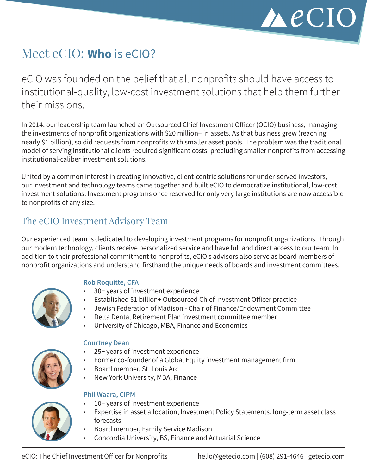

# Meet eCIO: **Who** is eCIO?

eCIO was founded on the belief that all nonprofits should have access to institutional-quality, low-cost investment solutions that help them further their missions.

In 2014, our leadership team launched an Outsourced Chief Investment Officer (OCIO) business, managing the investments of nonprofit organizations with \$20 million+ in assets. As that business grew (reaching nearly \$1 billion), so did requests from nonprofits with smaller asset pools. The problem was the traditional model of serving institutional clients required significant costs, precluding smaller nonprofits from accessing institutional-caliber investment solutions.

United by a common interest in creating innovative, client-centric solutions for under-served investors, our investment and technology teams came together and built eCIO to democratize institutional, low-cost investment solutions. Investment programs once reserved for only very large institutions are now accessible to nonprofits of any size.

## The eCIO Investment Advisory Team

Our experienced team is dedicated to developing investment programs for nonprofit organizations. Through our modern technology, clients receive personalized service and have full and direct access to our team. In addition to their professional commitment to nonprofits, eCIO's advisors also serve as board members of nonprofit organizations and understand firsthand the unique needs of boards and investment committees.

#### **Rob Roquitte, CFA**

- 30+ years of investment experience
- Established \$1 billion+ Outsourced Chief Investment Officer practice
- Jewish Federation of Madison Chair of Finance/Endowment Committee
- Delta Dental Retirement Plan investment committee member
- University of Chicago, MBA, Finance and Economics



#### **Courtney Dean**

- 25+ years of investment experience
- Former co-founder of a Global Equity investment management firm
- Board member, St. Louis Arc
- New York University, MBA, Finance

#### **Phil Waara, CIPM**

- 
- 10+ years of investment experience
- Expertise in asset allocation, Investment Policy Statements, long-term asset class forecasts
- Board member, Family Service Madison
- Concordia University, BS, Finance and Actuarial Science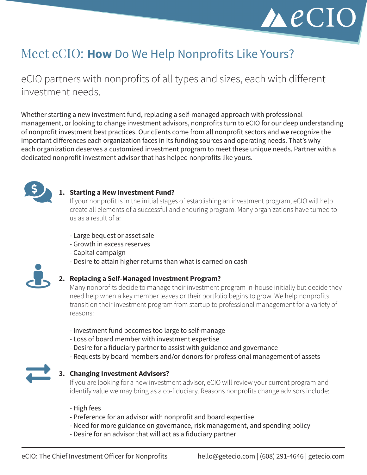

# Meet eCIO: **How** Do We Help Nonprofits Like Yours?

eCIO partners with nonprofits of all types and sizes, each with different investment needs.

Whether starting a new investment fund, replacing a self-managed approach with professional management, or looking to change investment advisors, nonprofits turn to eCIO for our deep understanding of nonprofit investment best practices. Our clients come from all nonprofit sectors and we recognize the important differences each organization faces in its funding sources and operating needs. That's why each organization deserves a customized investment program to meet these unique needs. Partner with a dedicated nonprofit investment advisor that has helped nonprofits like yours.



#### **1. Starting a New Investment Fund?**

If your nonprofit is in the initial stages of establishing an investment program, eCIO will help create all elements of a successful and enduring program. Many organizations have turned to us as a result of a:

- Large bequest or asset sale
- Growth in excess reserves
- Capital campaign
- Desire to attain higher returns than what is earned on cash



#### **2. Replacing a Self-Managed Investment Program?**

Many nonprofits decide to manage their investment program in-house initially but decide they need help when a key member leaves or their portfolio begins to grow. We help nonprofits transition their investment program from startup to professional management for a variety of reasons:

- Investment fund becomes too large to self-manage
- Loss of board member with investment expertise
- Desire for a fiduciary partner to assist with guidance and governance
- Requests by board members and/or donors for professional management of assets



#### **3. Changing Investment Advisors?**

If you are looking for a new investment advisor, eCIO will review your current program and identify value we may bring as a co-fiduciary. Reasons nonprofits change advisors include:

- High fees
- Preference for an advisor with nonprofit and board expertise
- Need for more guidance on governance, risk management, and spending policy
- Desire for an advisor that will act as a fiduciary partner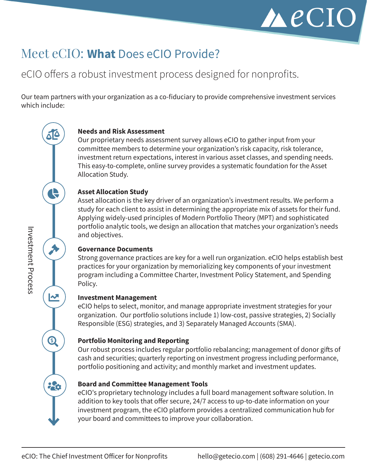

# Meet eCIO: **What** Does eCIO Provide?

## eCIO offers a robust investment process designed for nonprofits.

Our team partners with your organization as a co-fiduciary to provide comprehensive investment services which include:

#### **Needs and Risk Assessment**

Our proprietary needs assessment survey allows eCIO to gather input from your committee members to determine your organization's risk capacity, risk tolerance, investment return expectations, interest in various asset classes, and spending needs. This easy-to-complete, online survey provides a systematic foundation for the Asset Allocation Study.

#### **Asset Allocation Study**

Asset allocation is the key driver of an organization's investment results. We perform a study for each client to assist in determining the appropriate mix of assets for their fund. Applying widely-used principles of Modern Portfolio Theory (MPT) and sophisticated portfolio analytic tools, we design an allocation that matches your organization's needs and objectives.

#### **Governance Documents**

Strong governance practices are key for a well run organization. eCIO helps establish best practices for your organization by memorializing key components of your investment program including a Committee Charter, Investment Policy Statement, and Spending Policy.

#### **Investment Management**

eCIO helps to select, monitor, and manage appropriate investment strategies for your organization. Our portfolio solutions include 1) low-cost, passive strategies, 2) Socially Responsible (ESG) strategies, and 3) Separately Managed Accounts (SMA).

#### **Portfolio Monitoring and Reporting**

Our robust process includes regular portfolio rebalancing; management of donor gifts of cash and securities; quarterly reporting on investment progress including performance, portfolio positioning and activity; and monthly market and investment updates.

#### **Board and Committee Management Tools**

eCIO's proprietary technology includes a full board management software solution. In addition to key tools that offer secure, 24/7 access to up-to-date information on your investment program, the eCIO platform provides a centralized communication hub for your board and committees to improve your collaboration.

ΔC

Q

入

 $\mathbf{z}$ 

Q

20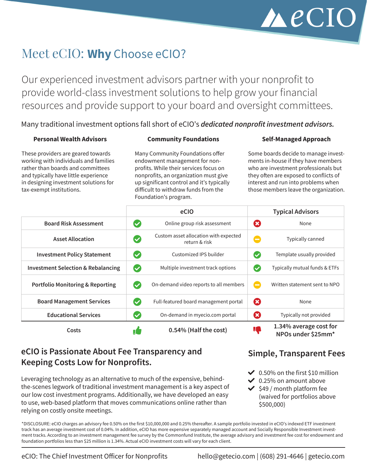# $\triangle$ eCIO

# Meet eCIO: **Why** Choose eCIO?

Our experienced investment advisors partner with your nonprofit to provide world-class investment solutions to help grow your financial resources and provide support to your board and oversight committees.

Many traditional investment options fall short of eCIO's *dedicated nonprofit investment advisors.*

#### **Personal Wealth Advisors**

#### **Community Foundations**

These providers are geared towards working with individuals and families rather than boards and committees and typically have little experience in designing investment solutions for tax-exempt institutions.

Many Community Foundations offer endowment management for nonprofits. While their services focus on nonprofits, an organization must give up significant control and it's typically difficult to withdraw funds from the Foundation's program.

#### **Self-Managed Approach**

Some boards decide to manage investments in-house if they have members who are investment professionals but they often are exposed to conflicts of interest and run into problems when those members leave the organization.

|                                               |              | eCIO                                                   |                | <b>Typical Advisors</b>                      |
|-----------------------------------------------|--------------|--------------------------------------------------------|----------------|----------------------------------------------|
| <b>Board Risk Assessment</b>                  | $\checkmark$ | Online group risk assessment                           | Ø              | None                                         |
| <b>Asset Allocation</b>                       | $\checkmark$ | Custom asset allocation with expected<br>return & risk | E              | Typically canned                             |
| <b>Investment Policy Statement</b>            | $\checkmark$ | Customized IPS builder                                 | $\checkmark$   | Template usually provided                    |
| <b>Investment Selection &amp; Rebalancing</b> | $\checkmark$ | Multiple investment track options                      | $\checkmark$   | Typically mutual funds & ETFs                |
| <b>Portfolio Monitoring &amp; Reporting</b>   | (V           | On-demand video reports to all members                 | $\blacksquare$ | Written statement sent to NPO                |
| <b>Board Management Services</b>              | (V           | Full-featured board management portal                  | Ø              | None                                         |
| <b>Educational Services</b>                   | $\checkmark$ | On-demand in myecio.com portal                         | Ø              | Typically not provided                       |
| Costs                                         | 1            | 0.54% (Half the cost)                                  | Ц,             | 1.34% average cost for<br>NPOs under \$25mm* |

### **eCIO is Passionate About Fee Transparency and Keeping Costs Low for Nonprofits.**

Leveraging technology as an alternative to much of the expensive, behindthe-scenes legwork of traditional investment management is a key aspect of our low cost investment programs. Additionally, we have developed an easy to use, web-based platform that moves communications online rather than relying on costly onsite meetings.

**Simple, Transparent Fees**

- $\vee$  0.50% on the first \$10 million
- $\vee$  0.25% on amount above
- $\blacktriangleright$  \$49 / month platform fee (waived for portfolios above \$500,000)

\*DISCLOSURE: eCIO charges an advisory fee 0.50% on the first \$10,000,000 and 0.25% thereafter. A sample portfolio invested in eCIO's indexed ETF investment track has an average investment cost of 0.04%. In addition, eCIO has more expensive separately managed account and Socially Responsible Investment investment tracks. According to an investment management fee survey by the Commonfund Institute, the average advisory and investment fee cost for endowment and foundation portfolios less than \$25 million is 1.34%. Actual eCIO investment costs will vary for each client.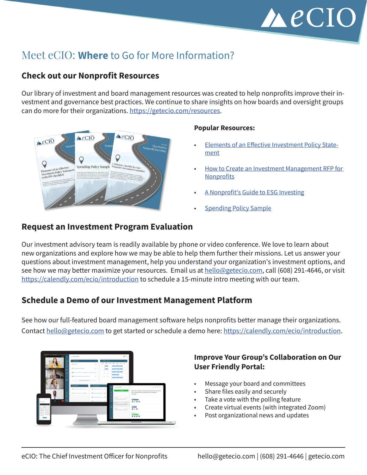

## Meet eCIO: **Where** to Go for More Information?

#### **Check out our Nonprofit Resources**

Our library of investment and board management resources was created to help nonprofits improve their investment and governance best practices. We continue to share insights on how boards and oversight groups can do more for their organizations.<https://getecio.com/resources>.



#### **Popular Resources:**

- **[Elements of an Effective Investment Policy State](https://blog.getecio.com/elements-of-an-effective-investment-policy-statement)**[ment](https://blog.getecio.com/elements-of-an-effective-investment-policy-statement)
- [How to Create an Investment Management RFP for](https://blog.getecio.com/how-to-create-an-investment-management-rfp-for-nonprofit-organizations)  **[Nonprofits](https://blog.getecio.com/how-to-create-an-investment-management-rfp-for-nonprofit-organizations)**
- [A Nonprofit's Guide to ESG Investing](https://blog.getecio.com/a-nonprofits-guide-to-esg-investing)
- **[Spending Policy Sample](https://blog.getecio.com/5-topics-your-investment-spending-policy-should-cover)**

#### **Request an Investment Program Evaluation**

Our investment advisory team is readily available by phone or video conference. We love to learn about new organizations and explore how we may be able to help them further their missions. Let us answer your questions about investment management, help you understand your organization's investment options, and see how we may better maximize your resources. Email us at [hello@getecio.com,](mailto:hello%40getecio.com?subject=More%20Information) call (608) 291-4646, or visit [https://calendly.com/ecio/](https://calendly.com/ecio/introduction)introduction to schedule a 15-minute intro meeting with our team.

#### **Schedule a Demo of our Investment Management Platform**

See how our full-featured board management software helps nonprofits better manage their organizations. Contact [hello@getecio.com](mailto:hello%40getecio.com?subject=Get%20Started) to get started or schedule a demo here: [https://calendly.com/ecio/](https://calendly.com/ecio/introduction)introduction.



#### **Improve Your Group's Collaboration on Our User Friendly Portal:**

- Message your board and committees
- Share files easily and securely
- Take a vote with the polling feature
- Create virtual events (with integrated Zoom)
- Post organizational news and updates